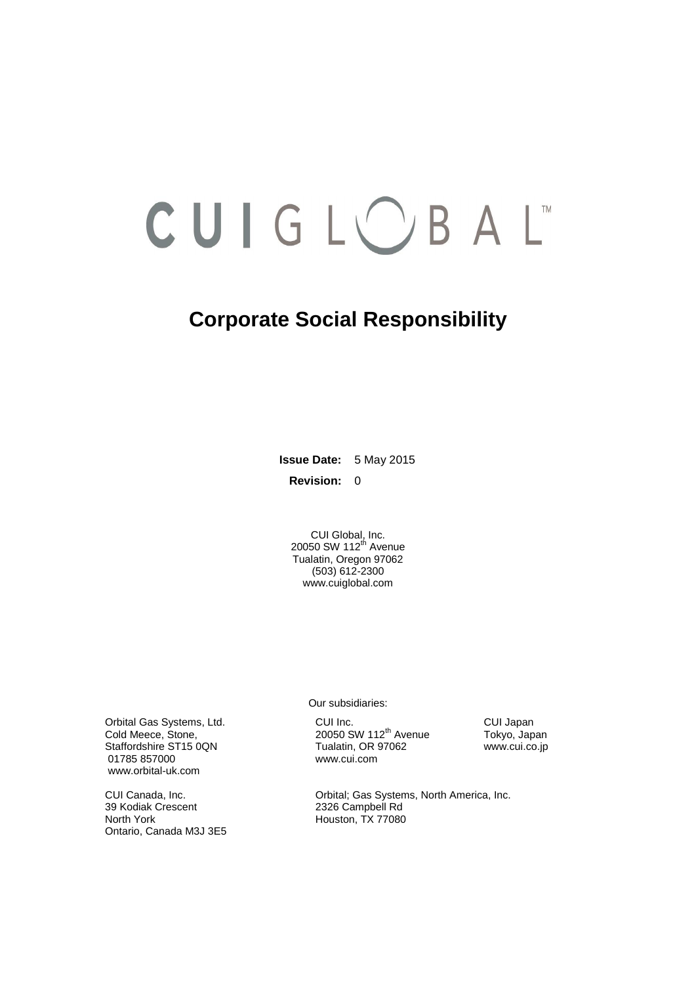# CUIGLOBAL

# **Corporate Social Responsibility**

**Issue Date:** 5 May 2015 **Revision:** 0

> CUI Global, Inc. 20050 SW 112<sup>th</sup> Avenue Tualatin, Oregon 97062 (503) 612-2300 [www.cuiglobal.com](http://www.cuiglobal.com/)

Orbital Gas Systems, Ltd. CUI Inc. CUI Inc. CUI Inc. CUI Japan<br>Cold Meece, Stone, Cold Meece, Stone, Cui Letter COUI 20050 SW 112<sup>th</sup> Avenue Tokyo, Japan Cold Meece, Stone, 20050 SW 112<sup>th</sup> Avenue Tokyo, Japan<br>
Staffordshire ST15 0QN Tualatin, OR 97062 www.cui.co.jp 01785 857000 www.cui.com [www.orbital-uk.com](http://www.orbital-uk.com/)

39 Kodiak Crescent 2326 Campbell Rd Ontario, Canada M3J 3E5

Our subsidiaries:

Tualatin, OR 97062

CUI Canada, Inc. CUI Canada, Inc. CUI Canada, Inc. Orbital; Gas Systems, North America, Inc. 39 Kodiak Crescent Houston, TX 77080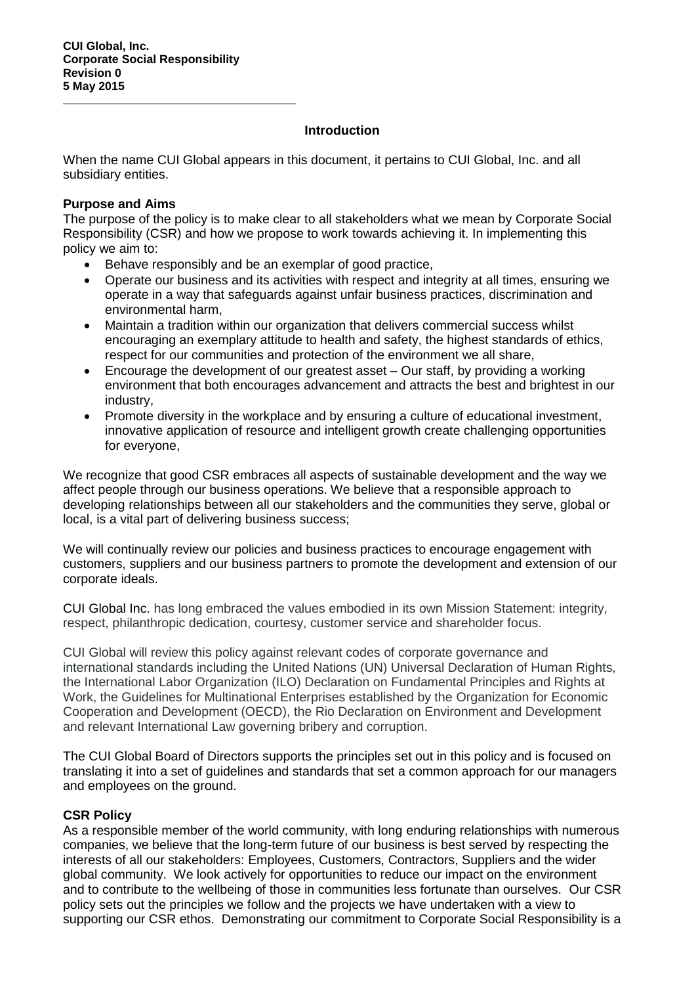#### **Introduction**

When the name CUI Global appears in this document, it pertains to CUI Global, Inc. and all subsidiary entities.

#### **Purpose and Aims**

The purpose of the policy is to make clear to all stakeholders what we mean by Corporate Social Responsibility (CSR) and how we propose to work towards achieving it. In implementing this policy we aim to:

- Behave responsibly and be an exemplar of good practice,
- Operate our business and its activities with respect and integrity at all times, ensuring we operate in a way that safeguards against unfair business practices, discrimination and environmental harm,
- Maintain a tradition within our organization that delivers commercial success whilst encouraging an exemplary attitude to health and safety, the highest standards of ethics, respect for our communities and protection of the environment we all share,
- Encourage the development of our greatest asset Our staff, by providing a working environment that both encourages advancement and attracts the best and brightest in our industry,
- Promote diversity in the workplace and by ensuring a culture of educational investment, innovative application of resource and intelligent growth create challenging opportunities for everyone,

We recognize that good CSR embraces all aspects of sustainable development and the way we affect people through our business operations. We believe that a responsible approach to developing relationships between all our stakeholders and the communities they serve, global or local, is a vital part of delivering business success;

We will continually review our policies and business practices to encourage engagement with customers, suppliers and our business partners to promote the development and extension of our corporate ideals.

CUI Global Inc. has long embraced the values embodied in its own Mission Statement: integrity, respect, philanthropic dedication, courtesy, customer service and shareholder focus.

CUI Global will review this policy against relevant codes of corporate governance and international standards including the United Nations (UN) Universal Declaration of Human Rights, the International Labor Organization (ILO) Declaration on Fundamental Principles and Rights at Work, the Guidelines for Multinational Enterprises established by the Organization for Economic Cooperation and Development (OECD), the Rio Declaration on Environment and Development and relevant International Law governing bribery and corruption.

The CUI Global Board of Directors supports the principles set out in this policy and is focused on translating it into a set of guidelines and standards that set a common approach for our managers and employees on the ground.

# **CSR Policy**

As a responsible member of the world community, with long enduring relationships with numerous companies, we believe that the long-term future of our business is best served by respecting the interests of all our stakeholders: Employees, Customers, Contractors, Suppliers and the wider global community. We look actively for opportunities to reduce our impact on the environment and to contribute to the wellbeing of those in communities less fortunate than ourselves. Our CSR policy sets out the principles we follow and the projects we have undertaken with a view to supporting our CSR ethos. Demonstrating our commitment to Corporate Social Responsibility is a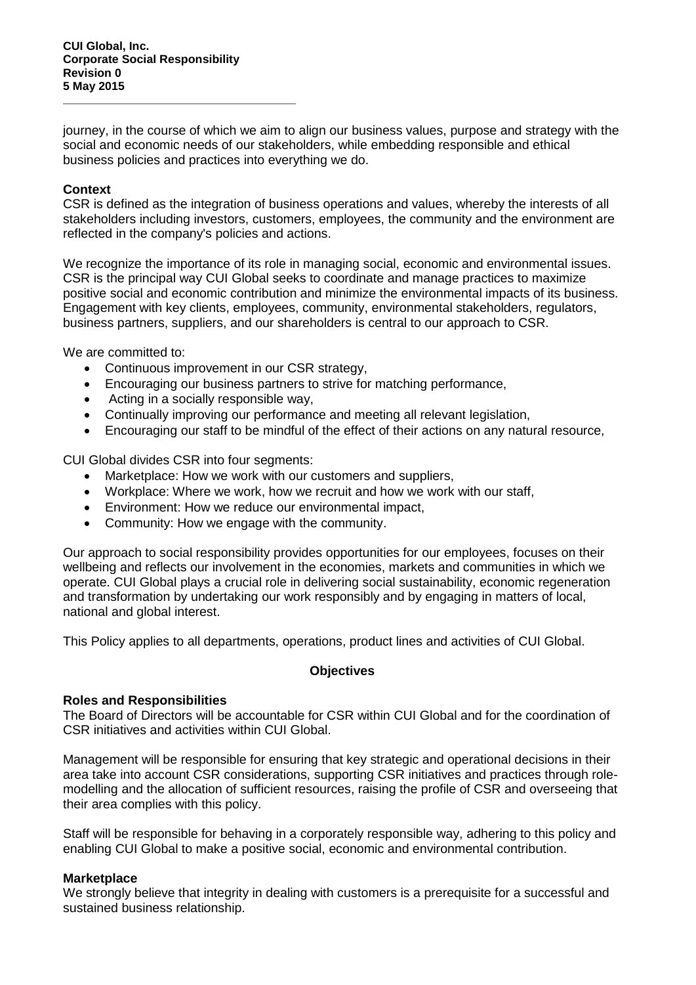**CUI Global, Inc. Corporate Social Responsibility Revision 0 5 May 2015**

journey, in the course of which we aim to align our business values, purpose and strategy with the social and economic needs of our stakeholders, while embedding responsible and ethical business policies and practices into everything we do.

#### **Context**

CSR is defined as the integration of business operations and values, whereby the interests of all stakeholders including investors, customers, employees, the community and the environment are reflected in the company's policies and actions.

We recognize the importance of its role in managing social, economic and environmental issues. CSR is the principal way CUI Global seeks to coordinate and manage practices to maximize positive social and economic contribution and minimize the environmental impacts of its business. Engagement with key clients, employees, community, environmental stakeholders, regulators, business partners, suppliers, and our shareholders is central to our approach to CSR.

We are committed to:

- Continuous improvement in our CSR strategy,
- Encouraging our business partners to strive for matching performance,
- Acting in a socially responsible way,
- Continually improving our performance and meeting all relevant legislation,
- Encouraging our staff to be mindful of the effect of their actions on any natural resource,

CUI Global divides CSR into four segments:

- Marketplace: How we work with our customers and suppliers,
- Workplace: Where we work, how we recruit and how we work with our staff,
- Environment: How we reduce our environmental impact,
- Community: How we engage with the community.

Our approach to social responsibility provides opportunities for our employees, focuses on their wellbeing and reflects our involvement in the economies, markets and communities in which we operate. CUI Global plays a crucial role in delivering social sustainability, economic regeneration and transformation by undertaking our work responsibly and by engaging in matters of local, national and global interest.

This Policy applies to all departments, operations, product lines and activities of CUI Global.

#### **Objectives**

#### **Roles and Responsibilities**

The Board of Directors will be accountable for CSR within CUI Global and for the coordination of CSR initiatives and activities within CUI Global.

Management will be responsible for ensuring that key strategic and operational decisions in their area take into account CSR considerations, supporting CSR initiatives and practices through rolemodelling and the allocation of sufficient resources, raising the profile of CSR and overseeing that their area complies with this policy.

Staff will be responsible for behaving in a corporately responsible way, adhering to this policy and enabling CUI Global to make a positive social, economic and environmental contribution.

#### **Marketplace**

We strongly believe that integrity in dealing with customers is a prerequisite for a successful and sustained business relationship.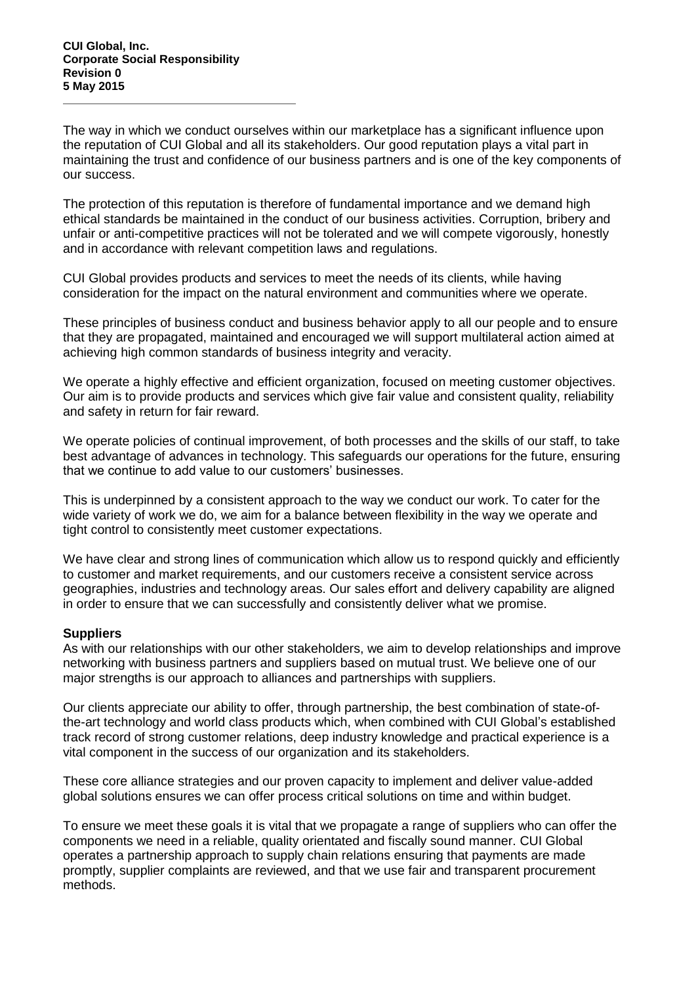The way in which we conduct ourselves within our marketplace has a significant influence upon the reputation of CUI Global and all its stakeholders. Our good reputation plays a vital part in maintaining the trust and confidence of our business partners and is one of the key components of our success.

The protection of this reputation is therefore of fundamental importance and we demand high ethical standards be maintained in the conduct of our business activities. Corruption, bribery and unfair or anti-competitive practices will not be tolerated and we will compete vigorously, honestly and in accordance with relevant competition laws and regulations.

CUI Global provides products and services to meet the needs of its clients, while having consideration for the impact on the natural environment and communities where we operate.

These principles of business conduct and business behavior apply to all our people and to ensure that they are propagated, maintained and encouraged we will support multilateral action aimed at achieving high common standards of business integrity and veracity.

We operate a highly effective and efficient organization, focused on meeting customer objectives. Our aim is to provide products and services which give fair value and consistent quality, reliability and safety in return for fair reward.

We operate policies of continual improvement, of both processes and the skills of our staff, to take best advantage of advances in technology. This safeguards our operations for the future, ensuring that we continue to add value to our customers' businesses.

This is underpinned by a consistent approach to the way we conduct our work. To cater for the wide variety of work we do, we aim for a balance between flexibility in the way we operate and tight control to consistently meet customer expectations.

We have clear and strong lines of communication which allow us to respond quickly and efficiently to customer and market requirements, and our customers receive a consistent service across geographies, industries and technology areas. Our sales effort and delivery capability are aligned in order to ensure that we can successfully and consistently deliver what we promise.

# **Suppliers**

As with our relationships with our other stakeholders, we aim to develop relationships and improve networking with business partners and suppliers based on mutual trust. We believe one of our major strengths is our approach to alliances and partnerships with suppliers.

Our clients appreciate our ability to offer, through partnership, the best combination of state-ofthe-art technology and world class products which, when combined with CUI Global's established track record of strong customer relations, deep industry knowledge and practical experience is a vital component in the success of our organization and its stakeholders.

These core alliance strategies and our proven capacity to implement and deliver value-added global solutions ensures we can offer process critical solutions on time and within budget.

To ensure we meet these goals it is vital that we propagate a range of suppliers who can offer the components we need in a reliable, quality orientated and fiscally sound manner. CUI Global operates a partnership approach to supply chain relations ensuring that payments are made promptly, supplier complaints are reviewed, and that we use fair and transparent procurement methods.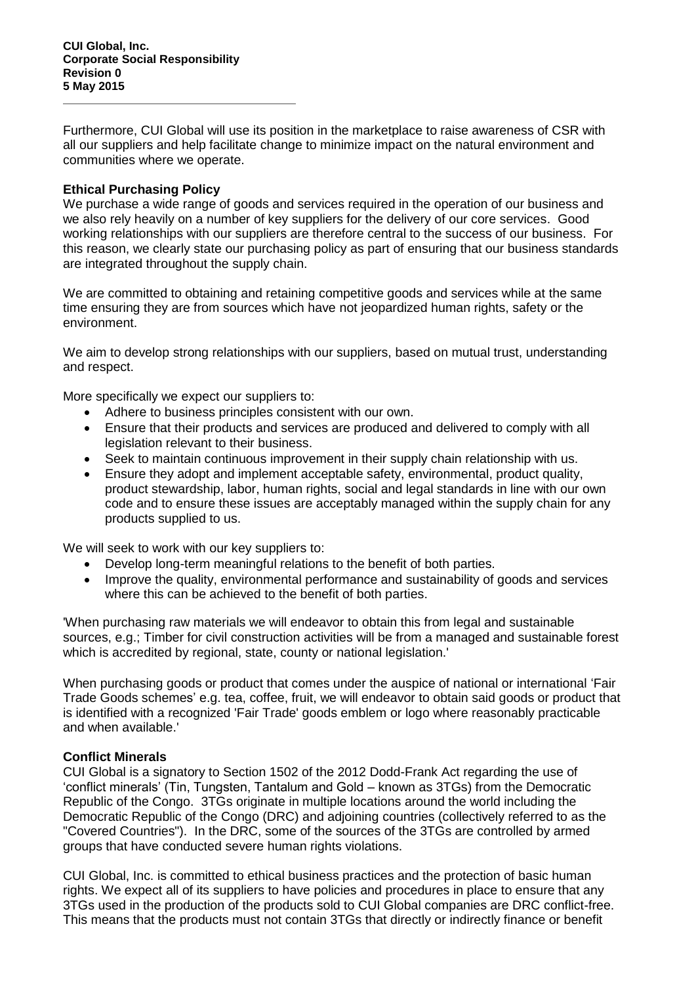Furthermore, CUI Global will use its position in the marketplace to raise awareness of CSR with all our suppliers and help facilitate change to minimize impact on the natural environment and communities where we operate.

#### **Ethical Purchasing Policy**

We purchase a wide range of goods and services required in the operation of our business and we also rely heavily on a number of key suppliers for the delivery of our core services. Good working relationships with our suppliers are therefore central to the success of our business. For this reason, we clearly state our purchasing policy as part of ensuring that our business standards are integrated throughout the supply chain.

We are committed to obtaining and retaining competitive goods and services while at the same time ensuring they are from sources which have not jeopardized human rights, safety or the environment.

We aim to develop strong relationships with our suppliers, based on mutual trust, understanding and respect.

More specifically we expect our suppliers to:

- Adhere to business principles consistent with our own.
- Ensure that their products and services are produced and delivered to comply with all legislation relevant to their business.
- Seek to maintain continuous improvement in their supply chain relationship with us.
- Ensure they adopt and implement acceptable safety, environmental, product quality, product stewardship, labor, human rights, social and legal standards in line with our own code and to ensure these issues are acceptably managed within the supply chain for any products supplied to us.

We will seek to work with our key suppliers to:

- Develop long-term meaningful relations to the benefit of both parties.
- Improve the quality, environmental performance and sustainability of goods and services where this can be achieved to the benefit of both parties.

'When purchasing raw materials we will endeavor to obtain this from legal and sustainable sources, e.g.; Timber for civil construction activities will be from a managed and sustainable forest which is accredited by regional, state, county or national legislation.'

When purchasing goods or product that comes under the auspice of national or international 'Fair Trade Goods schemes' e.g. tea, coffee, fruit, we will endeavor to obtain said goods or product that is identified with a recognized 'Fair Trade' goods emblem or logo where reasonably practicable and when available.'

# **Conflict Minerals**

CUI Global is a signatory to Section 1502 of the 2012 Dodd-Frank Act regarding the use of 'conflict minerals' (Tin, Tungsten, Tantalum and Gold – known as 3TGs) from the Democratic Republic of the Congo. 3TGs originate in multiple locations around the world including the Democratic Republic of the Congo (DRC) and adjoining countries (collectively referred to as the "Covered Countries"). In the DRC, some of the sources of the 3TGs are controlled by armed groups that have conducted severe human rights violations.

CUI Global, Inc. is committed to ethical business practices and the protection of basic human rights. We expect all of its suppliers to have policies and procedures in place to ensure that any 3TGs used in the production of the products sold to CUI Global companies are DRC conflict-free. This means that the products must not contain 3TGs that directly or indirectly finance or benefit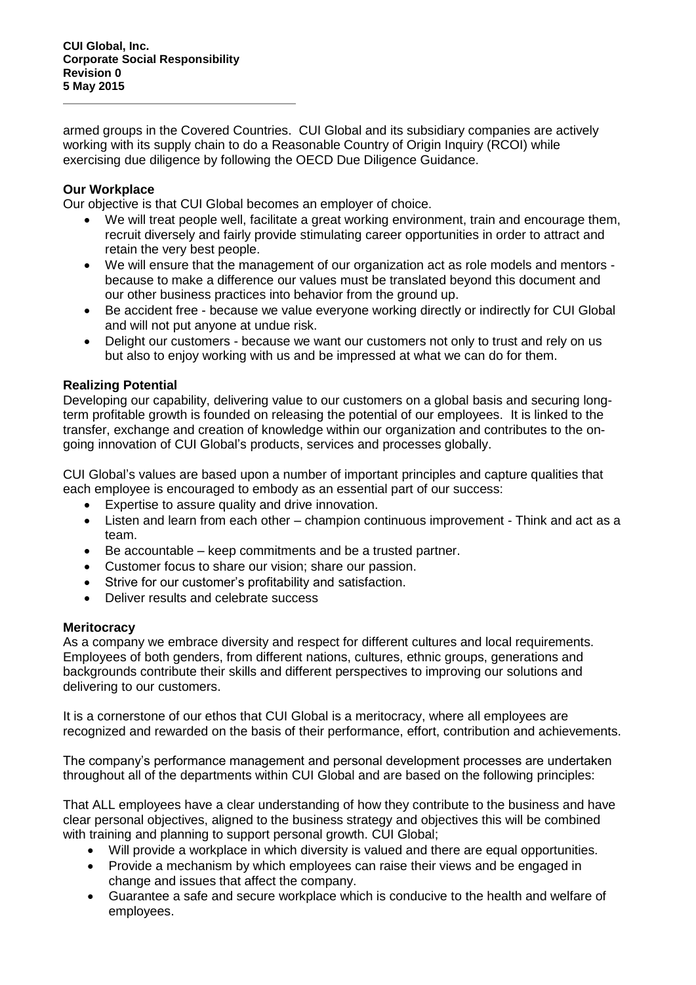armed groups in the Covered Countries. CUI Global and its subsidiary companies are actively working with its supply chain to do a Reasonable Country of Origin Inquiry (RCOI) while exercising due diligence by following the OECD Due Diligence Guidance.

# **Our Workplace**

Our objective is that CUI Global becomes an employer of choice.

- We will treat people well, facilitate a great working environment, train and encourage them, recruit diversely and fairly provide stimulating career opportunities in order to attract and retain the very best people.
- We will ensure that the management of our organization act as role models and mentors because to make a difference our values must be translated beyond this document and our other business practices into behavior from the ground up.
- Be accident free because we value everyone working directly or indirectly for CUI Global and will not put anyone at undue risk.
- Delight our customers because we want our customers not only to trust and rely on us but also to enjoy working with us and be impressed at what we can do for them.

# **Realizing Potential**

Developing our capability, delivering value to our customers on a global basis and securing longterm profitable growth is founded on releasing the potential of our employees. It is linked to the transfer, exchange and creation of knowledge within our organization and contributes to the ongoing innovation of CUI Global's products, services and processes globally.

CUI Global's values are based upon a number of important principles and capture qualities that each employee is encouraged to embody as an essential part of our success:

- Expertise to assure quality and drive innovation.
- Listen and learn from each other champion continuous improvement Think and act as a team.
- Be accountable keep commitments and be a trusted partner.
- Customer focus to share our vision; share our passion.
- Strive for our customer's profitability and satisfaction.
- Deliver results and celebrate success

# **Meritocracy**

As a company we embrace diversity and respect for different cultures and local requirements. Employees of both genders, from different nations, cultures, ethnic groups, generations and backgrounds contribute their skills and different perspectives to improving our solutions and delivering to our customers.

It is a cornerstone of our ethos that CUI Global is a meritocracy, where all employees are recognized and rewarded on the basis of their performance, effort, contribution and achievements.

The company's performance management and personal development processes are undertaken throughout all of the departments within CUI Global and are based on the following principles:

That ALL employees have a clear understanding of how they contribute to the business and have clear personal objectives, aligned to the business strategy and objectives this will be combined with training and planning to support personal growth. CUI Global;

- Will provide a workplace in which diversity is valued and there are equal opportunities.
- Provide a mechanism by which employees can raise their views and be engaged in change and issues that affect the company.
- Guarantee a safe and secure workplace which is conducive to the health and welfare of employees.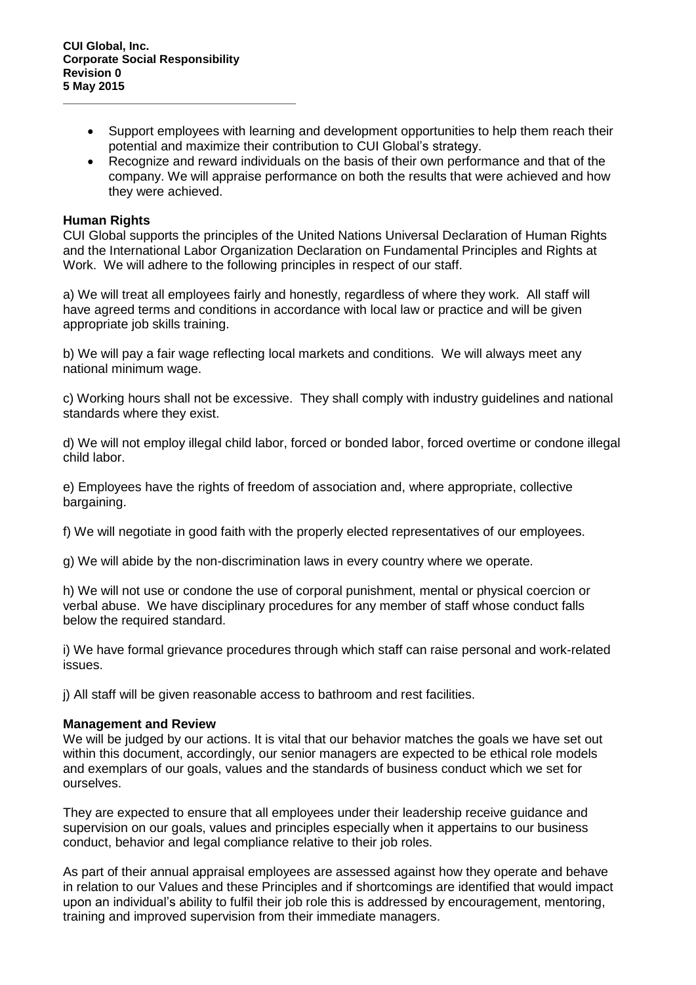- Support employees with learning and development opportunities to help them reach their potential and maximize their contribution to CUI Global's strategy.
- Recognize and reward individuals on the basis of their own performance and that of the company. We will appraise performance on both the results that were achieved and how they were achieved.

#### **Human Rights**

CUI Global supports the principles of the United Nations Universal Declaration of Human Rights and the International Labor Organization Declaration on Fundamental Principles and Rights at Work. We will adhere to the following principles in respect of our staff.

a) We will treat all employees fairly and honestly, regardless of where they work. All staff will have agreed terms and conditions in accordance with local law or practice and will be given appropriate job skills training.

b) We will pay a fair wage reflecting local markets and conditions. We will always meet any national minimum wage.

c) Working hours shall not be excessive. They shall comply with industry guidelines and national standards where they exist.

d) We will not employ illegal child labor, forced or bonded labor, forced overtime or condone illegal child labor.

e) Employees have the rights of freedom of association and, where appropriate, collective bargaining.

f) We will negotiate in good faith with the properly elected representatives of our employees.

g) We will abide by the non-discrimination laws in every country where we operate.

h) We will not use or condone the use of corporal punishment, mental or physical coercion or verbal abuse. We have disciplinary procedures for any member of staff whose conduct falls below the required standard.

i) We have formal grievance procedures through which staff can raise personal and work-related issues.

j) All staff will be given reasonable access to bathroom and rest facilities.

#### **Management and Review**

We will be judged by our actions. It is vital that our behavior matches the goals we have set out within this document, accordingly, our senior managers are expected to be ethical role models and exemplars of our goals, values and the standards of business conduct which we set for ourselves.

They are expected to ensure that all employees under their leadership receive guidance and supervision on our goals, values and principles especially when it appertains to our business conduct, behavior and legal compliance relative to their job roles.

As part of their annual appraisal employees are assessed against how they operate and behave in relation to our Values and these Principles and if shortcomings are identified that would impact upon an individual's ability to fulfil their job role this is addressed by encouragement, mentoring, training and improved supervision from their immediate managers.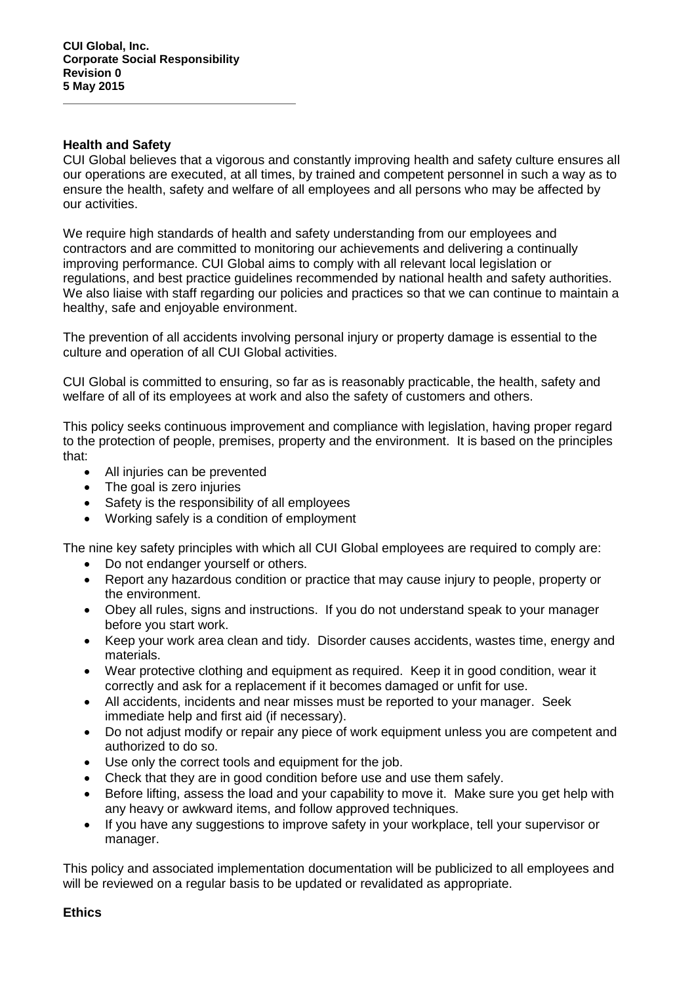#### **Health and Safety**

CUI Global believes that a vigorous and constantly improving health and safety culture ensures all our operations are executed, at all times, by trained and competent personnel in such a way as to ensure the health, safety and welfare of all employees and all persons who may be affected by our activities.

We require high standards of health and safety understanding from our employees and contractors and are committed to monitoring our achievements and delivering a continually improving performance. CUI Global aims to comply with all relevant local legislation or regulations, and best practice guidelines recommended by national health and safety authorities. We also liaise with staff regarding our policies and practices so that we can continue to maintain a healthy, safe and enjoyable environment.

The prevention of all accidents involving personal injury or property damage is essential to the culture and operation of all CUI Global activities.

CUI Global is committed to ensuring, so far as is reasonably practicable, the health, safety and welfare of all of its employees at work and also the safety of customers and others.

This policy seeks continuous improvement and compliance with legislation, having proper regard to the protection of people, premises, property and the environment. It is based on the principles that:

- All injuries can be prevented
- The goal is zero injuries
- Safety is the responsibility of all employees
- Working safely is a condition of employment

The nine key safety principles with which all CUI Global employees are required to comply are:

- Do not endanger yourself or others.
- Report any hazardous condition or practice that may cause injury to people, property or the environment.
- Obey all rules, signs and instructions. If you do not understand speak to your manager before you start work.
- Keep your work area clean and tidy. Disorder causes accidents, wastes time, energy and materials.
- Wear protective clothing and equipment as required. Keep it in good condition, wear it correctly and ask for a replacement if it becomes damaged or unfit for use.
- All accidents, incidents and near misses must be reported to your manager. Seek immediate help and first aid (if necessary).
- Do not adjust modify or repair any piece of work equipment unless you are competent and authorized to do so.
- Use only the correct tools and equipment for the job.
- Check that they are in good condition before use and use them safely.
- Before lifting, assess the load and your capability to move it. Make sure you get help with any heavy or awkward items, and follow approved techniques.
- If you have any suggestions to improve safety in your workplace, tell your supervisor or manager.

This policy and associated implementation documentation will be publicized to all employees and will be reviewed on a regular basis to be updated or revalidated as appropriate.

#### **Ethics**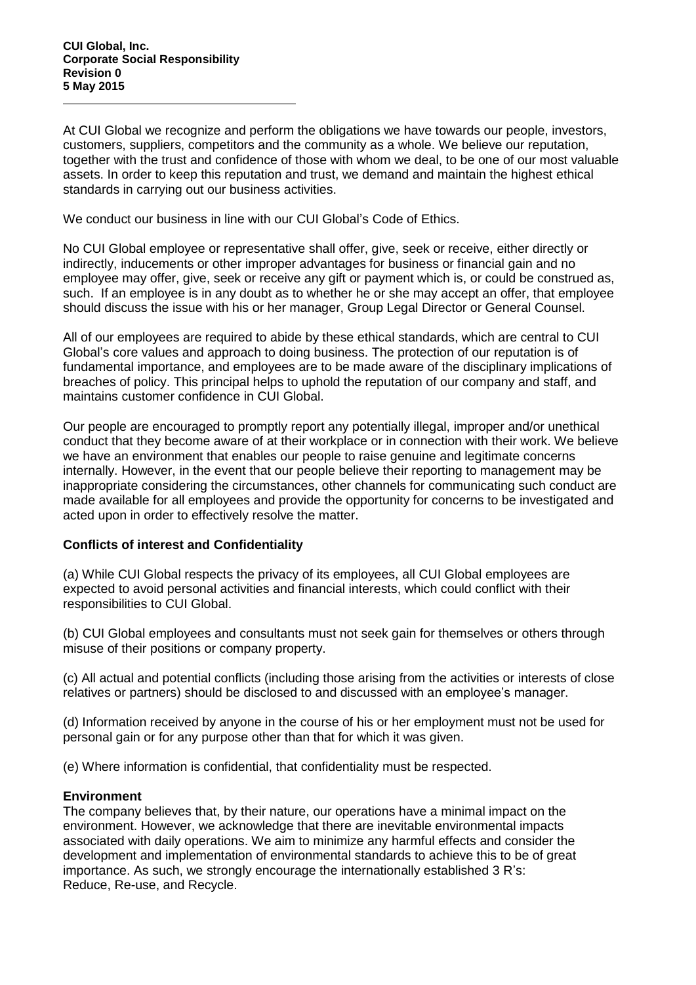At CUI Global we recognize and perform the obligations we have towards our people, investors, customers, suppliers, competitors and the community as a whole. We believe our reputation, together with the trust and confidence of those with whom we deal, to be one of our most valuable assets. In order to keep this reputation and trust, we demand and maintain the highest ethical standards in carrying out our business activities.

We conduct our business in line with our CUI Global's Code of Ethics.

No CUI Global employee or representative shall offer, give, seek or receive, either directly or indirectly, inducements or other improper advantages for business or financial gain and no employee may offer, give, seek or receive any gift or payment which is, or could be construed as, such. If an employee is in any doubt as to whether he or she may accept an offer, that employee should discuss the issue with his or her manager, Group Legal Director or General Counsel.

All of our employees are required to abide by these ethical standards, which are central to CUI Global's core values and approach to doing business. The protection of our reputation is of fundamental importance, and employees are to be made aware of the disciplinary implications of breaches of policy. This principal helps to uphold the reputation of our company and staff, and maintains customer confidence in CUI Global.

Our people are encouraged to promptly report any potentially illegal, improper and/or unethical conduct that they become aware of at their workplace or in connection with their work. We believe we have an environment that enables our people to raise genuine and legitimate concerns internally. However, in the event that our people believe their reporting to management may be inappropriate considering the circumstances, other channels for communicating such conduct are made available for all employees and provide the opportunity for concerns to be investigated and acted upon in order to effectively resolve the matter.

# **Conflicts of interest and Confidentiality**

(a) While CUI Global respects the privacy of its employees, all CUI Global employees are expected to avoid personal activities and financial interests, which could conflict with their responsibilities to CUI Global.

(b) CUI Global employees and consultants must not seek gain for themselves or others through misuse of their positions or company property.

(c) All actual and potential conflicts (including those arising from the activities or interests of close relatives or partners) should be disclosed to and discussed with an employee's manager.

(d) Information received by anyone in the course of his or her employment must not be used for personal gain or for any purpose other than that for which it was given.

(e) Where information is confidential, that confidentiality must be respected.

# **Environment**

The company believes that, by their nature, our operations have a minimal impact on the environment. However, we acknowledge that there are inevitable environmental impacts associated with daily operations. We aim to minimize any harmful effects and consider the development and implementation of environmental standards to achieve this to be of great importance. As such, we strongly encourage the internationally established 3 R's: Reduce, Re-use, and Recycle.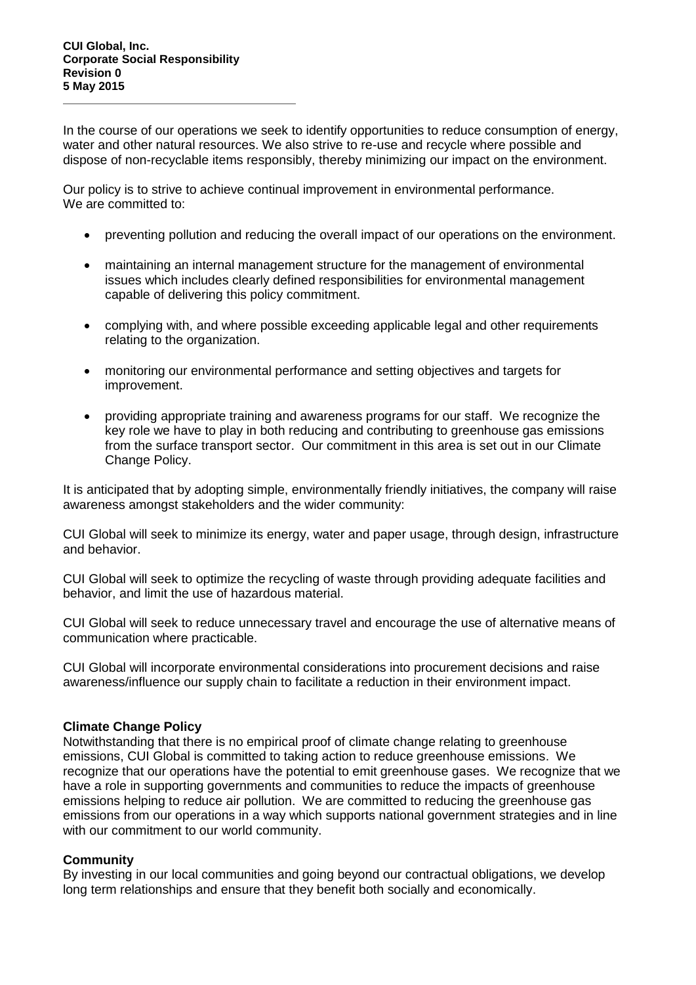In the course of our operations we seek to identify opportunities to reduce consumption of energy, water and other natural resources. We also strive to re-use and recycle where possible and dispose of non-recyclable items responsibly, thereby minimizing our impact on the environment.

Our policy is to strive to achieve continual improvement in environmental performance. We are committed to:

- preventing pollution and reducing the overall impact of our operations on the environment.
- maintaining an internal management structure for the management of environmental issues which includes clearly defined responsibilities for environmental management capable of delivering this policy commitment.
- complying with, and where possible exceeding applicable legal and other requirements relating to the organization.
- monitoring our environmental performance and setting objectives and targets for improvement.
- providing appropriate training and awareness programs for our staff. We recognize the key role we have to play in both reducing and contributing to greenhouse gas emissions from the surface transport sector. Our commitment in this area is set out in our Climate Change Policy.

It is anticipated that by adopting simple, environmentally friendly initiatives, the company will raise awareness amongst stakeholders and the wider community:

CUI Global will seek to minimize its energy, water and paper usage, through design, infrastructure and behavior.

CUI Global will seek to optimize the recycling of waste through providing adequate facilities and behavior, and limit the use of hazardous material.

CUI Global will seek to reduce unnecessary travel and encourage the use of alternative means of communication where practicable.

CUI Global will incorporate environmental considerations into procurement decisions and raise awareness/influence our supply chain to facilitate a reduction in their environment impact.

# **Climate Change Policy**

Notwithstanding that there is no empirical proof of climate change relating to greenhouse emissions, CUI Global is committed to taking action to reduce greenhouse emissions. We recognize that our operations have the potential to emit greenhouse gases. We recognize that we have a role in supporting governments and communities to reduce the impacts of greenhouse emissions helping to reduce air pollution. We are committed to reducing the greenhouse gas emissions from our operations in a way which supports national government strategies and in line with our commitment to our world community.

# **Community**

By investing in our local communities and going beyond our contractual obligations, we develop long term relationships and ensure that they benefit both socially and economically.